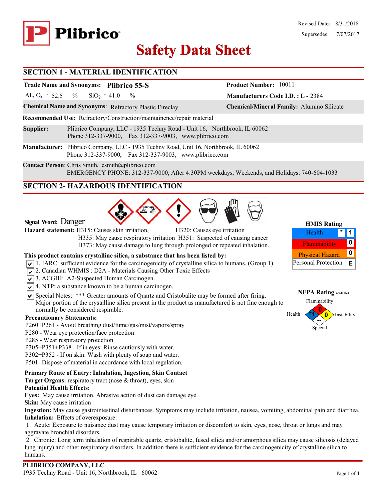

# **Safety Data Sheet Safety Data**

**Manufacturers Code I.D. : L -** 2384

**Product Number:** 10011

#### **SECTION 1 - MATERIAL IDENTIFICATION**

## **Trade Name and Synonyms: Plibrico 55-S**

Al<sub>2</sub> O<sub>3</sub> - 52.5 % SiO<sub>2</sub> - 41.0 %  $SiO<sub>2</sub> - 41.0$ 

**Chemical Name and Synonyms**: Refractory Plastic Fireclay **Chemical/Mineral Family:** Alumino Silicate

**Recommended Use:** Refractory/Construction/maintainence/repair material

**Supplier:** Plibrico Company, LLC - 1935 Techny Road - Unit 16, Northbrook, IL 60062 Phone 312-337-9000, Fax 312-337-9003, www.plibrico.com

**Manufacturer:** Plibrico Company, LLC - 1935 Techny Road, Unit 16, Northbrook, IL 60062 Phone 312-337-9000, Fax 312-337-9003, www.plibrico.com

**Contact Person**: Chris Smith, csmith@plibrico.com EMERGENCY PHONE: 312-337-9000, After 4:30PM weekdays, Weekends, and Holidays: 740-604-1033

## **SECTION 2- HAZARDOUS IDENTIFICATION**



**Signal Word:** Danger

**Hazard statement:** H315: Causes skin irritation, H320: Causes eye irritation

 H335: May cause respiratory irritation H351: Suspected of causing cancer H373: May cause damage to lung through prolonged or repeated inhalation.

#### **This product contains crystalline silica, a substance that has been listed by:**

- $\sqrt{1}$ . IARC: sufficient evidence for the carcinogenicity of crystalline silica to humans. (Group 1)
- 2. Canadian WHMIS: D2A Materials Causing Other Toxic Effects
- 3. ACGIH: A2-Suspected Human Carcinogen.
- $\sqrt{\sqrt{4}}$ . NTP: a substance known to be a human carcinogen.
- $\triangledown$  Special Notes: \*\*\* Greater amounts of Quartz and Cristobalite may be formed after firing. Major portion of the crystalline silica present in the product as manufactured is not fine enough to normally be considered respirable.

#### **Precautionary Statements:**

- P260**+**P261 Avoid breathing dust/fume/gas/mist/vapors/spray
- P280 Wear eye protection/face protection
- P285 Wear respiratory protection
- P305+P351+P338 If in eyes: Rinse cautiously with water.
- P302+P352 If on skin: Wash with plenty of soap and water.
- P501- Dispose of material in accordance with local regulation.

#### **Primary Route of Entry: Inhalation, Ingestion, Skin Contact**

**Target Organs:** respiratory tract (nose & throat), eyes, skin

#### **Potential Health Effects:**

**Eyes:** May cause irritation. Abrasive action of dust can damage eye.

**Skin:** May cause irritation

**Ingestion:** May cause gastrointestinal disturbances. Symptoms may include irritation, nausea, vomiting, abdominal pain and diarrhea. **Inhalation:** Effects of overexposure:

 1. Acute: Exposure to nuisance dust may cause temporary irritation or discomfort to skin, eyes, nose, throat or lungs and may aggravate bronchial disorders.

 2. Chronic: Long term inhalation of respirable quartz, cristobalite, fused silica and/or amorphous silica may cause silicosis (delayed lung injury) and other respiratory disorders. In addition there is sufficient evidence for the carcinogenicity of crystalline silica to humans.

#### **HMIS Rating 1** Flammability **0 \*** Physical Hazard **0** Personal Protection **E** Health

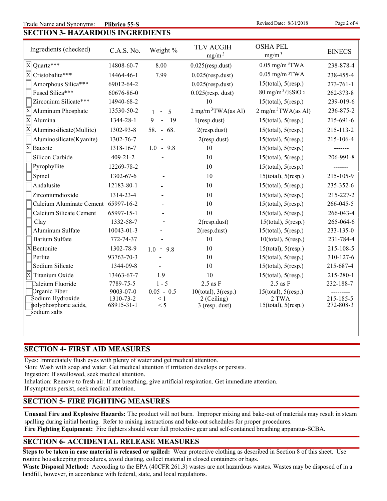#### **SECTION 3- HAZARDOUS INGREDIENTS** Trade Name and Synonyms: Plibrico 55-S

**Revised Date: 8/31/2018** 

| Ingredients (checked)                      | C.A.S. No.              | Weight %        | <b>TLV ACGIH</b><br>mg/m <sup>3</sup> | <b>OSHA PEL</b><br>mg/m <sup>3</sup> | <b>EINECS</b>          |
|--------------------------------------------|-------------------------|-----------------|---------------------------------------|--------------------------------------|------------------------|
| Quartz***<br>$ {\bf x} $                   | 14808-60-7              | 8.00            | $0.025$ (resp.dust)                   | $0.05$ mg/m $3$ TWA                  | 238-878-4              |
| $\overline{\mathrm{X}}$<br>Cristobalite*** | 14464-46-1              | 7.99            | $0.025$ (resp.dust)                   | $0.05$ mg/m $3TWA$                   | 238-455-4              |
| Amorphous Silica***                        | 69012-64-2              |                 | $0.025$ (resp.dust)                   | $15$ (total), $5$ (resp.)            | $273 - 761 - 1$        |
| Fused Silica***                            | 60676-86-0              |                 | $0.025$ (resp. dust)                  | $80 \text{ mg/m}^3$ /%SiO 2          | 262-373-8              |
| Zirconium Silicate***                      | 14940-68-2              |                 | 10                                    | $15$ (total), $5$ (resp.)            | 239-019-6              |
| Aluminum Phosphate                         | 13530-50-2              | 5<br>$\sim$ $-$ | $2 \text{ mg/m}^3$ TWA(as Al)         | $2 \text{ mg/m}^3$ TWA(as Al)        | 236-875-2              |
| Alumina<br>$\mathbf{X}$                    | 1344-28-1               | L.<br>19<br>9   | $1$ (resp.dust)                       | $15$ (total), $5$ (resp.)            | 215-691-6              |
| Aluminosilicate(Mullite)                   | 1302-93-8               | 58. - 68.       | $2$ (resp.dust)                       | $15$ (total), $5$ (resp.)            | 215-113-2              |
| Aluminosilicate(Kyanite)                   | 1302-76-7               |                 | $2$ (resp.dust)                       | $15$ (total), $5$ (resp.)            | 215-106-4              |
| X<br>Bauxite                               | 1318-16-7               | $1.0 - 9.8$     | 10                                    | $15$ (total), $5$ (resp.)            |                        |
| Silicon Carbide                            | $409 - 21 - 2$          |                 | 10                                    | $15$ (total), $5$ (resp.)            | 206-991-8              |
| Pyrophyllite                               | 12269-78-2              |                 | 10                                    | $15$ (total), $5$ (resp.)            |                        |
| Spinel                                     | 1302-67-6               |                 | 10                                    | $15$ (total), $5$ (resp.)            | 215-105-9              |
| Andalusite                                 | 12183-80-1              |                 | 10                                    | $15$ (total), $5$ (resp.)            | 235-352-6              |
| Zirconiumdioxide                           | 1314-23-4               |                 | 10                                    | $15$ (total), $5$ (resp.)            | 215-227-2              |
| Calcium Aluminate Cement 65997-16-2        |                         |                 | 10                                    | $15$ (total), $5$ (resp.)            | 266-045-5              |
| Calcium Silicate Cement                    | 65997-15-1              |                 | 10                                    | $15$ (total), $5$ (resp.)            | 266-043-4              |
| Clay                                       | 1332-58-7               |                 | $2$ (resp.dust)                       | $15$ (total), $5$ (resp.)            | 265-064-6              |
| Aluminum Sulfate                           | 10043-01-3              |                 | $2$ (resp.dust)                       | $15$ (total), $5$ (resp.)            | 233-135-0              |
| <b>Barium Sulfate</b>                      | 772-74-37               |                 | 10                                    | $10$ (total), $5$ (resp.)            | 231-784-4              |
| $\overline{X}$ Bentonite                   | 1302-78-9               | $1.0 - 9.8$     | 10                                    | $15$ (total), $5$ (resp.)            | 215-108-5              |
| Perlite                                    | 93763-70-3              |                 | 10                                    | $15$ (total), $5$ (resp.)            | 310-127-6              |
| Sodium Silicate                            | 1344-09-8               |                 | 10                                    | $15$ (total), $5$ (resp.)            | 215-687-4              |
| $\overline{\mathbf{x}}$<br>Titanium Oxide  | 13463-67-7              | 1.9             | 10                                    | $15$ (total), $5$ (resp.)            | 215-280-1              |
| Calcium Fluoride                           | 7789-75-5               | $1 - 5$         | $2.5$ as F                            | $2.5$ as $F$                         | 232-188-7              |
| Organic Fiber                              | 9003-07-0               | $0.05 - 0.5$    | $10$ (total), $3$ (resp.)             | $15$ (total), $5$ (resp.)            |                        |
| Sodium Hydroxide<br>polyphosphoric acids,  | 1310-73-2<br>68915-31-1 | $\leq 1$<br>< 5 | 2 (Ceiling)<br>3 (resp. dust)         | 2 TWA<br>$15$ (total), $5$ (resp.)   | 215-185-5<br>272-808-3 |
| sodium salts                               |                         |                 |                                       |                                      |                        |

#### **SECTION 4- FIRST AID MEASURES**

Eyes: Immediately flush eyes with plenty of water and get medical attention.

Skin: Wash with soap and water. Get medical attention if irritation develops or persists.

Ingestion: If swallowed, seek medical attention.

Inhalation: Remove to fresh air. If not breathing, give artificial respiration. Get immediate attention.

If symptoms persist, seek medical attention.

# **SECTION 5- FIRE FIGHTING MEASURES**

**Unusual Fire and Explosive Hazards:** The product will not burn. Improper mixing and bake-out of materials may result in steam spalling during initial heating. Refer to mixing instructions and bake-out schedules for proper procedures.

**Fire Fighting Equipment:** Fire fighters should wear full protective gear and self-contained breathing apparatus-SCBA.

# **SECTION 6- ACCIDENTAL RELEASE MEASURES**

**Steps to be taken in case material is released or spilled:** Wear protective clothing as described in Section 8 of this sheet. Use routine housekeeping procedures, avoid dusting, collect material in closed containers or bags.

**Waste Disposal Method:** According to the EPA (40CFR 261.3) wastes are not hazardous wastes. Wastes may be disposed of in a landfill, however, in accordance with federal, state, and local regulations.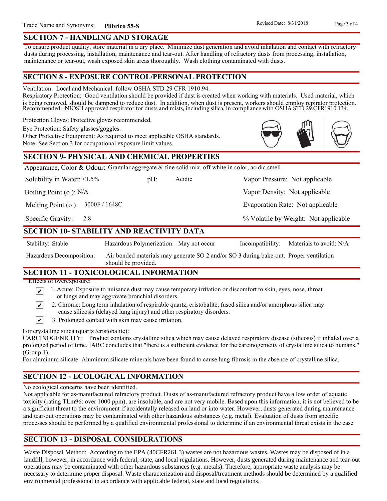Vapor Density: Not applicable

Evaporation Rate: Not applicable

% Volatile by Weight: Not applicable

#### **SECTION 7 - HANDLING AND STORAGE**

To ensure product quality, store material in a dry place. Minimize dust generation and avoid inhalation and contact with refractory dusts during processing, installation, maintenance and tear-out. After handling of refractory dusts from processing, installation, maintenance or tear-out, wash exposed skin areas thoroughly. Wash clothing contaminated with dusts.

#### **SECTION 8 - EXPOSURE CONTROL/PERSONAL PROTECTION**

Ventilation: Local and Mechanical: follow OSHA STD 29 CFR 1910.94.

Respiratory Protection: Good ventilation should be provided if dust is created when working with materials. Used material, which is being removed, should be dampend to reduce dust. In addition, when dust is present, workers should employ repirator protection. Recommended: NIOSH approved respirator for dusts and mists, including silica, in compliance with OSHA STD 29.CFR1910.134.

Protection Gloves: Protective gloves recommended.

Eye Protection: Safety glasses/goggles.

Other Protective Equipment: As required to meet applicable OSHA standards. Note: See Section 3 for occupational exposure limit values.

## **SECTION 9- PHYSICAL AND CHEMICAL PROPERTIES**

Appearance, Color & Odour: Granular aggregate & fine solid mix, off white in color, acidic smell

Solubility in Water:  $\leq 1.5\%$ 

pH: Acidic Vapor Pressure: Not applicable

Boiling Point (o ): N/A

Melting Point (o ): 3000F / 1648C

2.8 Specific Gravity:

## **SECTION 10- STABILITY AND REACTIVITY DATA**

Stability: Stable Hazardous Polymerization: May not occur Incompatibility: Materials to avoid: N/A

Acidic

Air bonded materials may generate SO 2 and/or SO 3 during bake-out. Proper ventilation should be provided. Hazardous Decomposition:

#### **SECTION 11 - TOXICOLOGICAL INFORMATION**

Effects of overexposure:

- 1. Acute: Exposure to nuisance dust may cause temporary irritation or discomfort to skin, eyes, nose, throat ∣V∣ or lungs and may aggravate bronchial disorders.
- 2. Chronic: Long term inhalation of respirable quartz, cristobalite, fused silica and/or amorphous silica may ∣V∣ cause silicosis (delayed lung injury) and other respiratory disorders.
- $\vert\mathbf{v}\vert$ 3. Prolonged contact with skin may cause irritation.

For crystalline silica (quartz /cristobalite):

CARCINOGENICITY: Product contains crystalline silica which may cause delayed respiratory disease (silicosis) if inhaled over a prolonged period of time. IARC concludes that "there is a sufficient evidence for the carcinogenicity of crystalline silica to humans." (Group 1).

For aluminum silicate: Aluminum silicate minerals have been found to cause lung fibrosis in the absence of crystalline silica.

# **SECTION 12 - ECOLOGICAL INFORMATION**

No ecological concerns have been identified.

Not applicable for as-manufactured refractory product. Dusts of as-manufactured refractory product have a low order of aquatic toxicity (rating TLm96: over 1000 ppm), are insoluble, and are not very mobile. Based upon this information, it is not believed to be a significant threat to the environment if accidentally released on land or into water. However, dusts generated during maintenance and tear-out operations may be contaminated with other hazardous substances (e.g. metal). Evaluation of dusts from specific processes should be performed by a qualified environmental professional to determine if an environmental threat exists in the case

# **SECTION 13 - DISPOSAL CONSIDERATIONS**

Waste Disposal Method: According to the EPA (40CFR261.3) wastes are not hazardous wastes. Wastes may be disposed of in a landfill, however, in accordance with federal, state, and local regulations. However, dusts generated during maintenance and tear-out operations may be contaminated with other hazardous substances (e.g. metals). Therefore, appropriate waste analysis may be necessary to determine proper disposal. Waste characterization and disposal/treatment methods should be determined by a qualified environmental professional in accordance with applicable federal, state and local regulations.